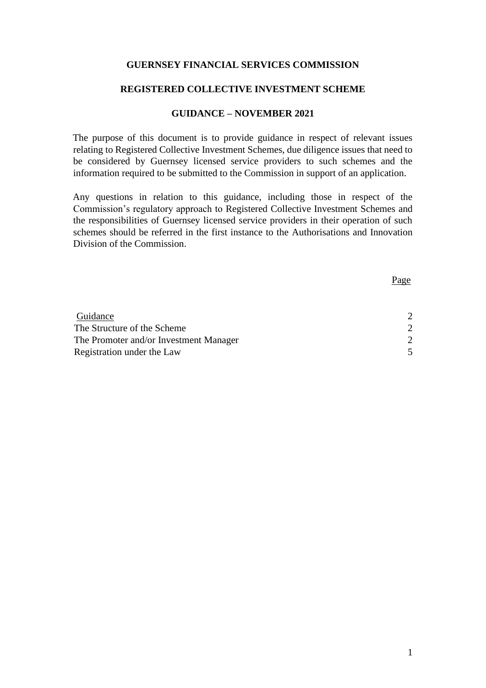## **GUERNSEY FINANCIAL SERVICES COMMISSION**

#### **REGISTERED COLLECTIVE INVESTMENT SCHEME**

#### **GUIDANCE – NOVEMBER 2021**

The purpose of this document is to provide guidance in respect of relevant issues relating to Registered Collective Investment Schemes, due diligence issues that need to be considered by Guernsey licensed service providers to such schemes and the information required to be submitted to the Commission in support of an application.

Any questions in relation to this guidance, including those in respect of the Commission's regulatory approach to Registered Collective Investment Schemes and the responsibilities of Guernsey licensed service providers in their operation of such schemes should be referred in the first instance to the Authorisations and Innovation Division of the Commission.

Page

| Guidance                               |  |
|----------------------------------------|--|
| The Structure of the Scheme            |  |
| The Promoter and/or Investment Manager |  |
| Registration under the Law             |  |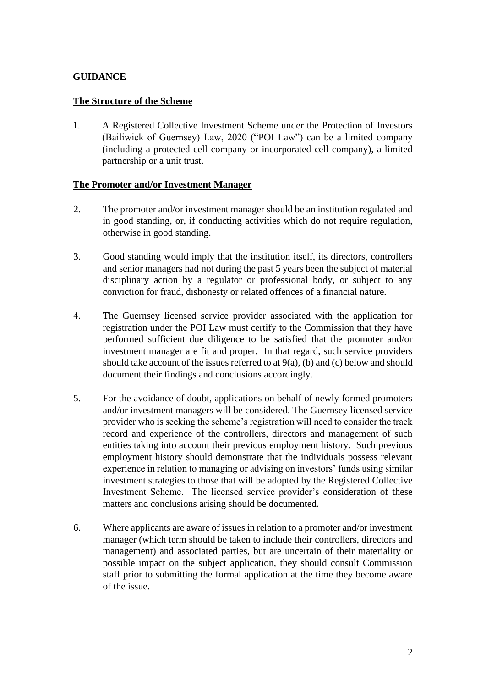# <span id="page-1-0"></span>**GUIDANCE**

# <span id="page-1-1"></span>**The Structure of the Scheme**

1. A Registered Collective Investment Scheme under the Protection of Investors (Bailiwick of Guernsey) Law, 2020 ("POI Law") can be a limited company (including a protected cell company or incorporated cell company), a limited partnership or a unit trust.

# <span id="page-1-2"></span>**The Promoter and/or Investment Manager**

- 2. The promoter and/or investment manager should be an institution regulated and in good standing, or, if conducting activities which do not require regulation, otherwise in good standing.
- 3. Good standing would imply that the institution itself, its directors, controllers and senior managers had not during the past 5 years been the subject of material disciplinary action by a regulator or professional body, or subject to any conviction for fraud, dishonesty or related offences of a financial nature.
- 4. The Guernsey licensed service provider associated with the application for registration under the POI Law must certify to the Commission that they have performed sufficient due diligence to be satisfied that the promoter and/or investment manager are fit and proper. In that regard, such service providers should take account of the issues referred to at 9(a), (b) and (c) below and should document their findings and conclusions accordingly.
- 5. For the avoidance of doubt, applications on behalf of newly formed promoters and/or investment managers will be considered. The Guernsey licensed service provider who is seeking the scheme's registration will need to consider the track record and experience of the controllers, directors and management of such entities taking into account their previous employment history. Such previous employment history should demonstrate that the individuals possess relevant experience in relation to managing or advising on investors' funds using similar investment strategies to those that will be adopted by the Registered Collective Investment Scheme. The licensed service provider's consideration of these matters and conclusions arising should be documented.
- 6. Where applicants are aware of issues in relation to a promoter and/or investment manager (which term should be taken to include their controllers, directors and management) and associated parties, but are uncertain of their materiality or possible impact on the subject application, they should consult Commission staff prior to submitting the formal application at the time they become aware of the issue.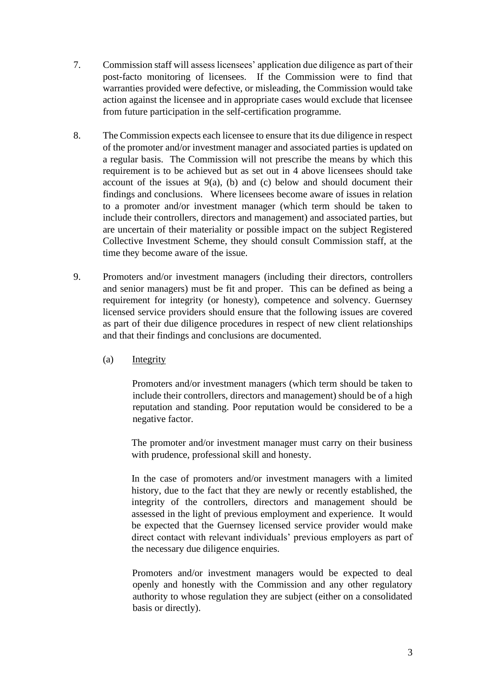- 7. Commission staff will assess licensees' application due diligence as part of their post-facto monitoring of licensees. If the Commission were to find that warranties provided were defective, or misleading, the Commission would take action against the licensee and in appropriate cases would exclude that licensee from future participation in the self-certification programme.
- 8. The Commission expects each licensee to ensure that its due diligence in respect of the promoter and/or investment manager and associated parties is updated on a regular basis. The Commission will not prescribe the means by which this requirement is to be achieved but as set out in 4 above licensees should take account of the issues at  $9(a)$ , (b) and (c) below and should document their findings and conclusions. Where licensees become aware of issues in relation to a promoter and/or investment manager (which term should be taken to include their controllers, directors and management) and associated parties, but are uncertain of their materiality or possible impact on the subject Registered Collective Investment Scheme, they should consult Commission staff, at the time they become aware of the issue.
- 9. Promoters and/or investment managers (including their directors, controllers and senior managers) must be fit and proper. This can be defined as being a requirement for integrity (or honesty), competence and solvency. Guernsey licensed service providers should ensure that the following issues are covered as part of their due diligence procedures in respect of new client relationships and that their findings and conclusions are documented.
	- (a) Integrity

Promoters and/or investment managers (which term should be taken to include their controllers, directors and management) should be of a high reputation and standing. Poor reputation would be considered to be a negative factor.

The promoter and/or investment manager must carry on their business with prudence, professional skill and honesty.

In the case of promoters and/or investment managers with a limited history, due to the fact that they are newly or recently established, the integrity of the controllers, directors and management should be assessed in the light of previous employment and experience. It would be expected that the Guernsey licensed service provider would make direct contact with relevant individuals' previous employers as part of the necessary due diligence enquiries.

Promoters and/or investment managers would be expected to deal openly and honestly with the Commission and any other regulatory authority to whose regulation they are subject (either on a consolidated basis or directly).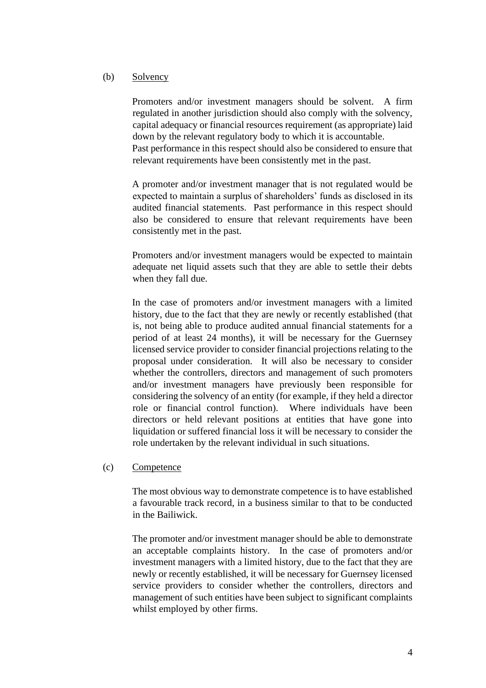## (b) Solvency

Promoters and/or investment managers should be solvent. A firm regulated in another jurisdiction should also comply with the solvency, capital adequacy or financial resources requirement (as appropriate) laid down by the relevant regulatory body to which it is accountable. Past performance in this respect should also be considered to ensure that relevant requirements have been consistently met in the past.

A promoter and/or investment manager that is not regulated would be expected to maintain a surplus of shareholders' funds as disclosed in its audited financial statements. Past performance in this respect should also be considered to ensure that relevant requirements have been consistently met in the past.

Promoters and/or investment managers would be expected to maintain adequate net liquid assets such that they are able to settle their debts when they fall due.

In the case of promoters and/or investment managers with a limited history, due to the fact that they are newly or recently established (that is, not being able to produce audited annual financial statements for a period of at least 24 months), it will be necessary for the Guernsey licensed service provider to consider financial projections relating to the proposal under consideration. It will also be necessary to consider whether the controllers, directors and management of such promoters and/or investment managers have previously been responsible for considering the solvency of an entity (for example, if they held a director role or financial control function). Where individuals have been directors or held relevant positions at entities that have gone into liquidation or suffered financial loss it will be necessary to consider the role undertaken by the relevant individual in such situations.

#### (c) Competence

The most obvious way to demonstrate competence is to have established a favourable track record, in a business similar to that to be conducted in the Bailiwick.

The promoter and/or investment manager should be able to demonstrate an acceptable complaints history. In the case of promoters and/or investment managers with a limited history, due to the fact that they are newly or recently established, it will be necessary for Guernsey licensed service providers to consider whether the controllers, directors and management of such entities have been subject to significant complaints whilst employed by other firms.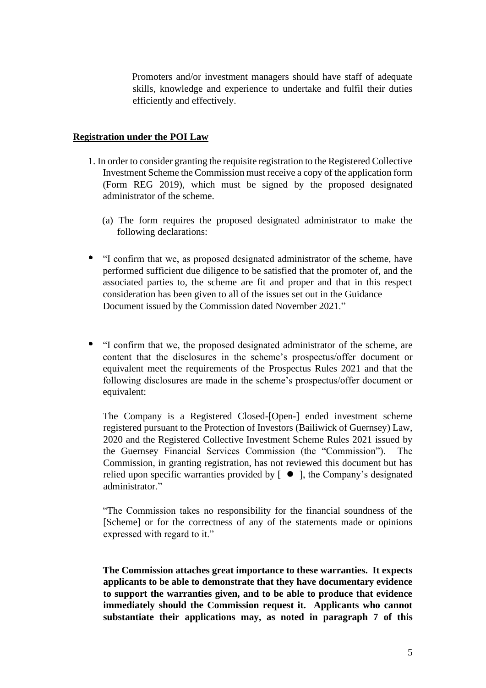Promoters and/or investment managers should have staff of adequate skills, knowledge and experience to undertake and fulfil their duties efficiently and effectively.

### <span id="page-4-0"></span>**Registration under the POI Law**

- 1. In order to consider granting the requisite registration to the Registered Collective Investment Scheme the Commission must receive a copy of the application form (Form REG 2019), which must be signed by the proposed designated administrator of the scheme.
	- (a) The form requires the proposed designated administrator to make the following declarations:
- "I confirm that we, as proposed designated administrator of the scheme, have performed sufficient due diligence to be satisfied that the promoter of, and the associated parties to, the scheme are fit and proper and that in this respect consideration has been given to all of the issues set out in the Guidance Document issued by the Commission dated November 2021."
- "I confirm that we, the proposed designated administrator of the scheme, are content that the disclosures in the scheme's prospectus/offer document or equivalent meet the requirements of the Prospectus Rules 2021 and that the following disclosures are made in the scheme's prospectus/offer document or equivalent:

The Company is a Registered Closed-[Open-] ended investment scheme registered pursuant to the Protection of Investors (Bailiwick of Guernsey) Law, 2020 and the Registered Collective Investment Scheme Rules 2021 issued by the Guernsey Financial Services Commission (the "Commission"). The Commission, in granting registration, has not reviewed this document but has relied upon specific warranties provided by  $\lceil \bullet \rceil$ , the Company's designated administrator."

"The Commission takes no responsibility for the financial soundness of the [Scheme] or for the correctness of any of the statements made or opinions expressed with regard to it."

**The Commission attaches great importance to these warranties. It expects applicants to be able to demonstrate that they have documentary evidence to support the warranties given, and to be able to produce that evidence immediately should the Commission request it. Applicants who cannot substantiate their applications may, as noted in paragraph 7 of this**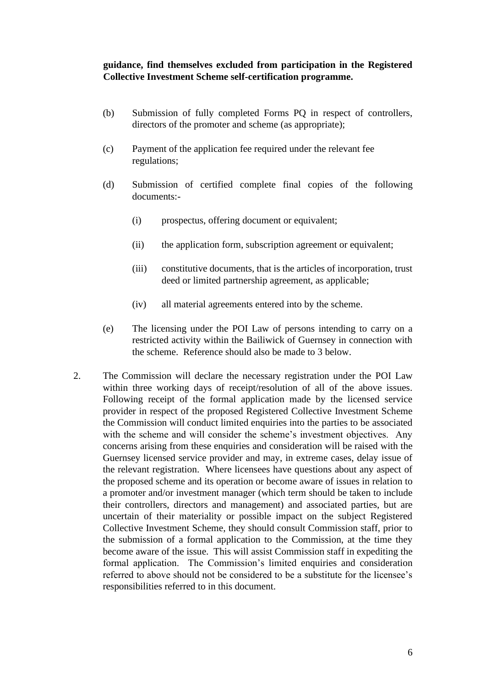## **guidance, find themselves excluded from participation in the Registered Collective Investment Scheme self-certification programme.**

- (b) Submission of fully completed Forms PQ in respect of controllers, directors of the promoter and scheme (as appropriate);
- (c) Payment of the application fee required under the relevant fee regulations;
- (d) Submission of certified complete final copies of the following documents:-
	- (i) prospectus, offering document or equivalent;
	- (ii) the application form, subscription agreement or equivalent;
	- (iii) constitutive documents, that is the articles of incorporation, trust deed or limited partnership agreement, as applicable;
	- (iv) all material agreements entered into by the scheme.
- (e) The licensing under the POI Law of persons intending to carry on a restricted activity within the Bailiwick of Guernsey in connection with the scheme. Reference should also be made to 3 below.
- 2. The Commission will declare the necessary registration under the POI Law within three working days of receipt/resolution of all of the above issues. Following receipt of the formal application made by the licensed service provider in respect of the proposed Registered Collective Investment Scheme the Commission will conduct limited enquiries into the parties to be associated with the scheme and will consider the scheme's investment objectives. Any concerns arising from these enquiries and consideration will be raised with the Guernsey licensed service provider and may, in extreme cases, delay issue of the relevant registration. Where licensees have questions about any aspect of the proposed scheme and its operation or become aware of issues in relation to a promoter and/or investment manager (which term should be taken to include their controllers, directors and management) and associated parties, but are uncertain of their materiality or possible impact on the subject Registered Collective Investment Scheme, they should consult Commission staff, prior to the submission of a formal application to the Commission, at the time they become aware of the issue. This will assist Commission staff in expediting the formal application. The Commission's limited enquiries and consideration referred to above should not be considered to be a substitute for the licensee's responsibilities referred to in this document.